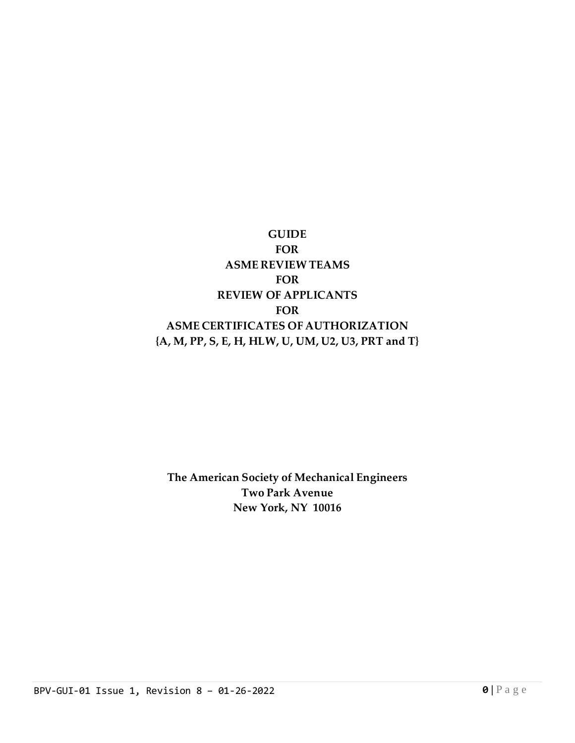# **GUIDE FOR ASME REVIEW TEAMS FOR REVIEW OF APPLICANTS FOR ASME CERTIFICATES OF AUTHORIZATION {A, M, PP, S, E, H, HLW, U, UM, U2, U3, PRT and T}**

## **The American Society of Mechanical Engineers Two Park Avenue New York, NY 10016**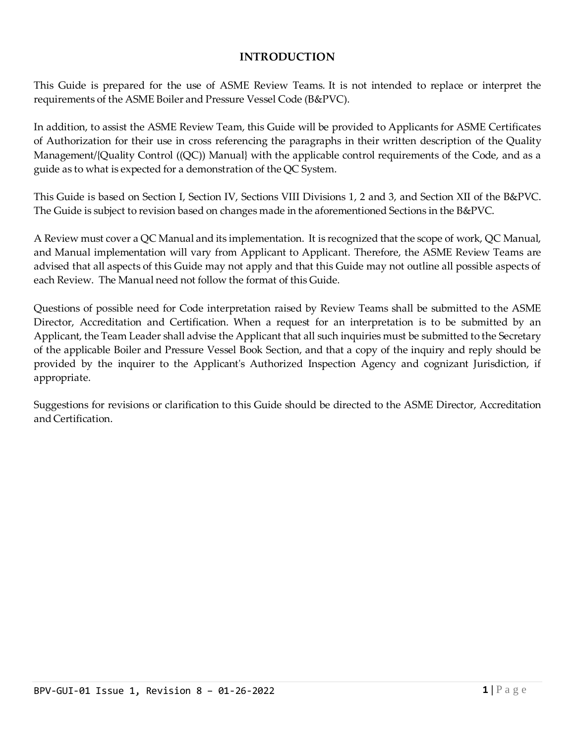#### **INTRODUCTION**

This Guide is prepared for the use of ASME Review Teams. It is not intended to replace or interpret the requirements of the ASME Boiler and Pressure Vessel Code (B&PVC).

In addition, to assist the ASME Review Team, this Guide will be provided to Applicants for ASME Certificates of Authorization for their use in cross referencing the paragraphs in their written description of the Quality Management/{Quality Control ((QC)) Manual} with the applicable control requirements of the Code, and as a guide as to what is expected for a demonstration of the QC System.

This Guide is based on Section I, Section IV, Sections VIII Divisions 1, 2 and 3, and Section XII of the B&PVC. The Guide is subject to revision based on changes made in the aforementioned Sections in the B&PVC.

A Review must cover a QC Manual and its implementation. It is recognized that the scope of work, QC Manual, and Manual implementation will vary from Applicant to Applicant. Therefore, the ASME Review Teams are advised that all aspects of this Guide may not apply and that this Guide may not outline all possible aspects of each Review. The Manual need not follow the format of this Guide.

Questions of possible need for Code interpretation raised by Review Teams shall be submitted to the ASME Director, Accreditation and Certification. When a request for an interpretation is to be submitted by an Applicant, the Team Leader shall advise the Applicant that all such inquiries must be submitted to the Secretary of the applicable Boiler and Pressure Vessel Book Section, and that a copy of the inquiry and reply should be provided by the inquirer to the Applicant's Authorized Inspection Agency and cognizant Jurisdiction, if appropriate.

Suggestions for revisions or clarification to this Guide should be directed to the ASME Director, Accreditation and Certification.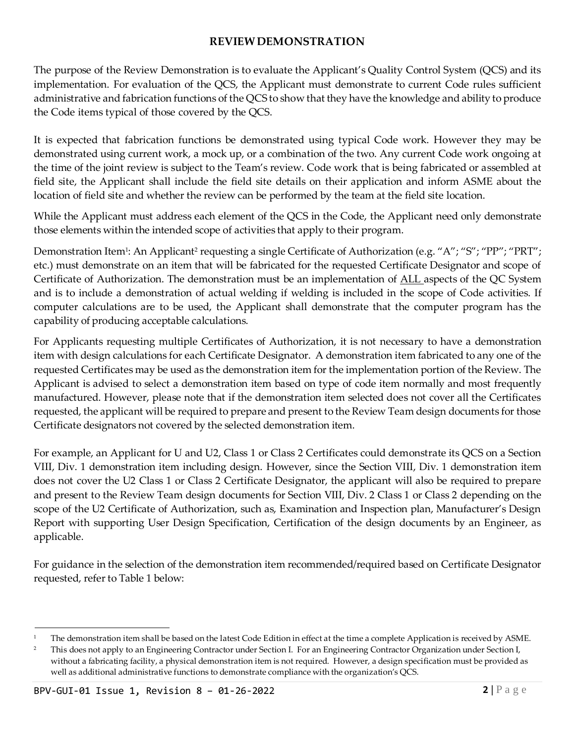#### **REVIEWDEMONSTRATION**

The purpose of the Review Demonstration is to evaluate the Applicant's Quality Control System (QCS) and its implementation. For evaluation of the QCS, the Applicant must demonstrate to current Code rules sufficient administrative and fabrication functions of the QCS to show that they have the knowledge and ability to produce the Code items typical of those covered by the QCS.

It is expected that fabrication functions be demonstrated using typical Code work. However they may be demonstrated using current work, a mock up, or a combination of the two. Any current Code work ongoing at the time of the joint review is subject to the Team's review. Code work that is being fabricated or assembled at field site, the Applicant shall include the field site details on their application and inform ASME about the location of field site and whether the review can be performed by the team at the field site location.

While the Applicant must address each element of the QCS in the Code, the Applicant need only demonstrate those elements within the intended scope of activities that apply to their program.

Demonstration Item<sup>1</sup>: An Applicant<sup>2</sup> requesting a single Certificate of Authorization (e.g. "A"; "S"; "PP"; "PRT"; etc.) must demonstrate on an item that will be fabricated for the requested Certificate Designator and scope of Certificate of Authorization. The demonstration must be an implementation of ALL aspects of the QC System and is to include a demonstration of actual welding if welding is included in the scope of Code activities. If computer calculations are to be used, the Applicant shall demonstrate that the computer program has the capability of producing acceptable calculations.

For Applicants requesting multiple Certificates of Authorization, it is not necessary to have a demonstration item with design calculations for each Certificate Designator. A demonstration item fabricated to any one of the requested Certificates may be used as the demonstration item for the implementation portion of the Review. The Applicant is advised to select a demonstration item based on type of code item normally and most frequently manufactured. However, please note that if the demonstration item selected does not cover all the Certificates requested, the applicant will be required to prepare and present to the Review Team design documents for those Certificate designators not covered by the selected demonstration item.

For example, an Applicant for U and U2, Class 1 or Class 2 Certificates could demonstrate its QCS on a Section VIII, Div. 1 demonstration item including design. However, since the Section VIII, Div. 1 demonstration item does not cover the U2 Class 1 or Class 2 Certificate Designator, the applicant will also be required to prepare and present to the Review Team design documents for Section VIII, Div. 2 Class 1 or Class 2 depending on the scope of the U2 Certificate of Authorization, such as, Examination and Inspection plan, Manufacturer's Design Report with supporting User Design Specification, Certification of the design documents by an Engineer, as applicable.

For guidance in the selection of the demonstration item recommended/required based on Certificate Designator requested, refer to Table 1 below:

<sup>&</sup>lt;sup>1</sup> The demonstration item shall be based on the latest Code Edition in effect at the time a complete Application is received by ASME.

<sup>&</sup>lt;sup>2</sup> This does not apply to an Engineering Contractor under Section I. For an Engineering Contractor Organization under Section I, without a fabricating facility, a physical demonstration item is not required. However, a design specification must be provided as well as additional administrative functions to demonstrate compliance with the organization's QCS.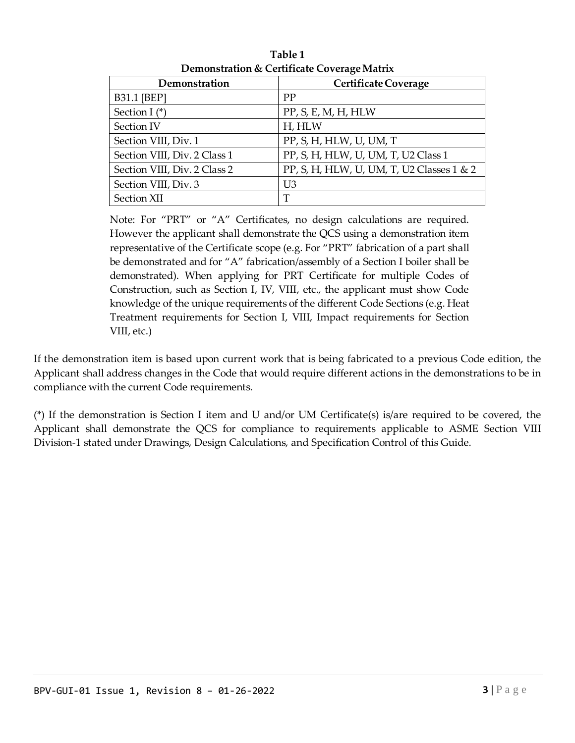|                              | ◡                                         |
|------------------------------|-------------------------------------------|
| Demonstration                | <b>Certificate Coverage</b>               |
| <b>B31.1 [BEP]</b>           | PP                                        |
| Section I $(*)$              | PP, S, E, M, H, HLW                       |
| Section IV                   | H, HLW                                    |
| Section VIII, Div. 1         | PP, S, H, HLW, U, UM, T                   |
| Section VIII, Div. 2 Class 1 | PP, S, H, HLW, U, UM, T, U2 Class 1       |
| Section VIII, Div. 2 Class 2 | PP, S, H, HLW, U, UM, T, U2 Classes 1 & 2 |
| Section VIII, Div. 3         | U3                                        |
| Section XII                  | T                                         |

**Table 1 Demonstration & Certificate CoverageMatrix**

Note: For "PRT" or "A" Certificates, no design calculations are required. However the applicant shall demonstrate the QCS using a demonstration item representative of the Certificate scope (e.g. For "PRT" fabrication of a part shall be demonstrated and for "A" fabrication/assembly of a Section I boiler shall be demonstrated). When applying for PRT Certificate for multiple Codes of Construction, such as Section I, IV, VIII, etc., the applicant must show Code knowledge of the unique requirements of the different Code Sections (e.g. Heat Treatment requirements for Section I, VIII, Impact requirements for Section VIII, etc.)

If the demonstration item is based upon current work that is being fabricated to a previous Code edition, the Applicant shall address changes in the Code that would require different actions in the demonstrations to be in compliance with the current Code requirements.

(\*) If the demonstration is Section I item and U and/or UM Certificate(s) is/are required to be covered, the Applicant shall demonstrate the QCS for compliance to requirements applicable to ASME Section VIII Division-1 stated under Drawings, Design Calculations, and Specification Control of this Guide.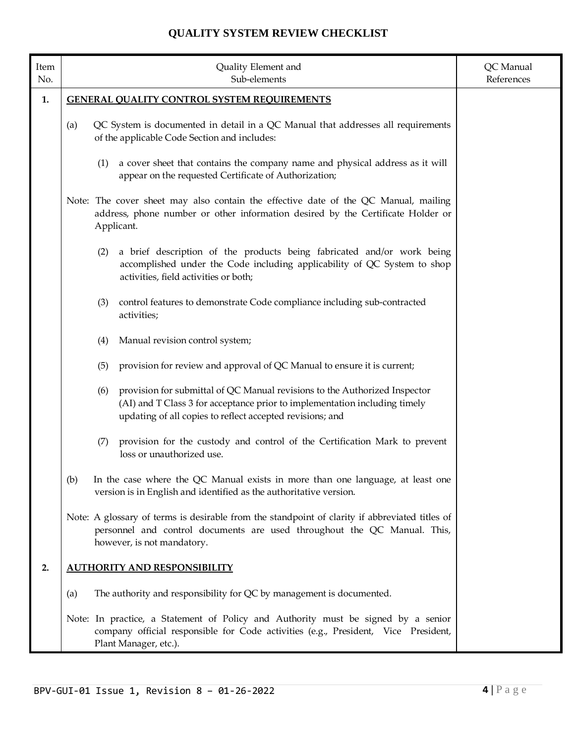| Item<br>No. | Quality Element and<br>Sub-elements                                                                                                     |     |                                                                                                                                                                                                                       | QC Manual<br>References |
|-------------|-----------------------------------------------------------------------------------------------------------------------------------------|-----|-----------------------------------------------------------------------------------------------------------------------------------------------------------------------------------------------------------------------|-------------------------|
| 1.          | <b>GENERAL QUALITY CONTROL SYSTEM REQUIREMENTS</b>                                                                                      |     |                                                                                                                                                                                                                       |                         |
|             | QC System is documented in detail in a QC Manual that addresses all requirements<br>(a)<br>of the applicable Code Section and includes: |     |                                                                                                                                                                                                                       |                         |
|             |                                                                                                                                         | (1) | a cover sheet that contains the company name and physical address as it will<br>appear on the requested Certificate of Authorization;                                                                                 |                         |
|             |                                                                                                                                         |     | Note: The cover sheet may also contain the effective date of the QC Manual, mailing<br>address, phone number or other information desired by the Certificate Holder or<br>Applicant.                                  |                         |
|             |                                                                                                                                         | (2) | a brief description of the products being fabricated and/or work being<br>accomplished under the Code including applicability of QC System to shop<br>activities, field activities or both;                           |                         |
|             |                                                                                                                                         | (3) | control features to demonstrate Code compliance including sub-contracted<br>activities;                                                                                                                               |                         |
|             |                                                                                                                                         | (4) | Manual revision control system;                                                                                                                                                                                       |                         |
|             |                                                                                                                                         | (5) | provision for review and approval of QC Manual to ensure it is current;                                                                                                                                               |                         |
|             |                                                                                                                                         | (6) | provision for submittal of QC Manual revisions to the Authorized Inspector<br>(AI) and T Class 3 for acceptance prior to implementation including timely<br>updating of all copies to reflect accepted revisions; and |                         |
|             |                                                                                                                                         | (7) | provision for the custody and control of the Certification Mark to prevent<br>loss or unauthorized use.                                                                                                               |                         |
|             | (b)                                                                                                                                     |     | In the case where the QC Manual exists in more than one language, at least one<br>version is in English and identified as the authoritative version.                                                                  |                         |
|             |                                                                                                                                         |     | Note: A glossary of terms is desirable from the standpoint of clarity if abbreviated titles of<br>personnel and control documents are used throughout the QC Manual. This,<br>however, is not mandatory.              |                         |
| 2.          | <b>AUTHORITY AND RESPONSIBILITY</b>                                                                                                     |     |                                                                                                                                                                                                                       |                         |
|             | (a)                                                                                                                                     |     | The authority and responsibility for QC by management is documented.                                                                                                                                                  |                         |
|             |                                                                                                                                         |     | Note: In practice, a Statement of Policy and Authority must be signed by a senior<br>company official responsible for Code activities (e.g., President, Vice President,<br>Plant Manager, etc.).                      |                         |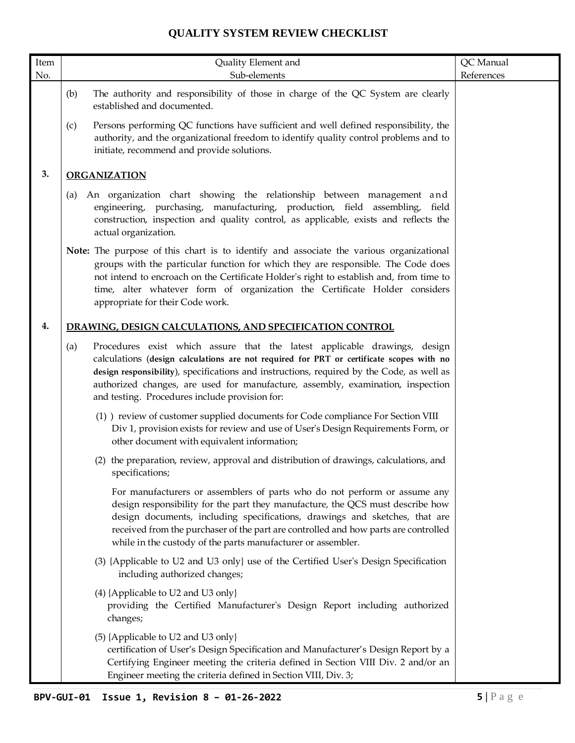| Item | Quality Element and                                                                                                                                                                                                                                                                                                                                                                                            | QC Manual  |
|------|----------------------------------------------------------------------------------------------------------------------------------------------------------------------------------------------------------------------------------------------------------------------------------------------------------------------------------------------------------------------------------------------------------------|------------|
| No.  | Sub-elements                                                                                                                                                                                                                                                                                                                                                                                                   | References |
|      | The authority and responsibility of those in charge of the QC System are clearly<br>(b)<br>established and documented.                                                                                                                                                                                                                                                                                         |            |
|      | Persons performing QC functions have sufficient and well defined responsibility, the<br>(c)<br>authority, and the organizational freedom to identify quality control problems and to<br>initiate, recommend and provide solutions.                                                                                                                                                                             |            |
| 3.   | <b>ORGANIZATION</b>                                                                                                                                                                                                                                                                                                                                                                                            |            |
|      | An organization chart showing the relationship between management and<br>(a)<br>engineering, purchasing, manufacturing, production, field assembling,<br>field<br>construction, inspection and quality control, as applicable, exists and reflects the<br>actual organization.                                                                                                                                 |            |
|      | Note: The purpose of this chart is to identify and associate the various organizational<br>groups with the particular function for which they are responsible. The Code does<br>not intend to encroach on the Certificate Holder's right to establish and, from time to<br>time, alter whatever form of organization the Certificate Holder considers<br>appropriate for their Code work.                      |            |
| 4.   | DRAWING, DESIGN CALCULATIONS, AND SPECIFICATION CONTROL                                                                                                                                                                                                                                                                                                                                                        |            |
|      | Procedures exist which assure that the latest applicable drawings, design<br>(a)<br>calculations (design calculations are not required for PRT or certificate scopes with no<br>design responsibility), specifications and instructions, required by the Code, as well as<br>authorized changes, are used for manufacture, assembly, examination, inspection<br>and testing. Procedures include provision for: |            |
|      | (1) review of customer supplied documents for Code compliance For Section VIII<br>Div 1, provision exists for review and use of User's Design Requirements Form, or<br>other document with equivalent information;                                                                                                                                                                                             |            |
|      | (2) the preparation, review, approval and distribution of drawings, calculations, and<br>specifications;                                                                                                                                                                                                                                                                                                       |            |
|      | For manufacturers or assemblers of parts who do not perform or assume any<br>design responsibility for the part they manufacture, the QCS must describe how<br>design documents, including specifications, drawings and sketches, that are<br>received from the purchaser of the part are controlled and how parts are controlled<br>while in the custody of the parts manufacturer or assembler.              |            |
|      | (3) {Applicable to U2 and U3 only} use of the Certified User's Design Specification<br>including authorized changes;                                                                                                                                                                                                                                                                                           |            |
|      | (4) {Applicable to U2 and U3 only}<br>providing the Certified Manufacturer's Design Report including authorized<br>changes;                                                                                                                                                                                                                                                                                    |            |
|      | (5) {Applicable to U2 and U3 only}<br>certification of User's Design Specification and Manufacturer's Design Report by a<br>Certifying Engineer meeting the criteria defined in Section VIII Div. 2 and/or an<br>Engineer meeting the criteria defined in Section VIII, Div. 3;                                                                                                                                |            |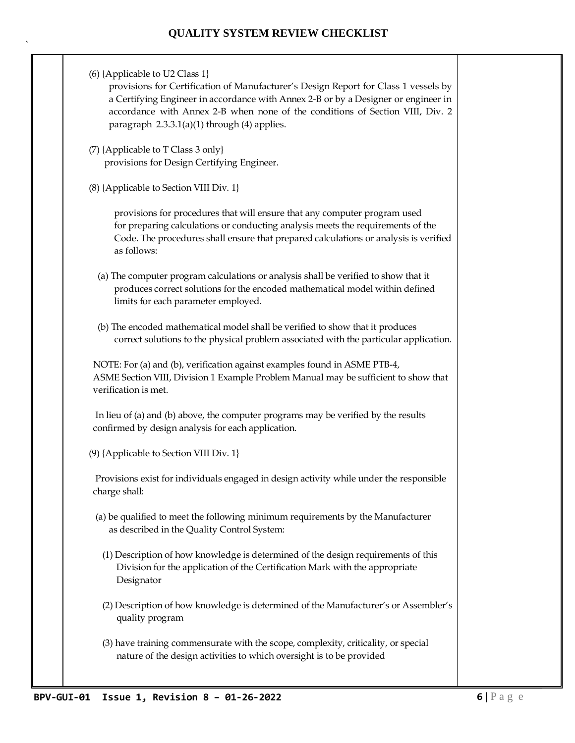`

(6) {Applicable to U2 Class 1} provisions for Certification of Manufacturer's Design Report for Class 1 vessels by a Certifying Engineer in accordance with Annex 2-B or by a Designer or engineer in accordance with Annex 2-B when none of the conditions of Section VIII, Div. 2 paragraph 2.3.3.1(a)(1) through (4) applies. (7) {Applicable to T Class 3 only} provisions for Design Certifying Engineer. (8) {Applicable to Section VIII Div. 1} provisions for procedures that will ensure that any computer program used for preparing calculations or conducting analysis meets the requirements of the Code. The procedures shall ensure that prepared calculations or analysis is verified as follows: (a) The computer program calculations or analysis shall be verified to show that it produces correct solutions for the encoded mathematical model within defined limits for each parameter employed. (b) The encoded mathematical model shall be verified to show that it produces correct solutions to the physical problem associated with the particular application. NOTE: For (a) and (b), verification against examples found in ASME PTB-4, ASME Section VIII, Division 1 Example Problem Manual may be sufficient to show that verification is met. In lieu of (a) and (b) above, the computer programs may be verified by the results confirmed by design analysis for each application. (9) {Applicable to Section VIII Div. 1} Provisions exist for individuals engaged in design activity while under the responsible charge shall: (a) be qualified to meet the following minimum requirements by the Manufacturer as described in the Quality Control System: (1) Description of how knowledge is determined of the design requirements of this Division for the application of the Certification Mark with the appropriate Designator (2) Description of how knowledge is determined of the Manufacturer's or Assembler's quality program (3) have training commensurate with the scope, complexity, criticality, or special nature of the design activities to which oversight is to be provided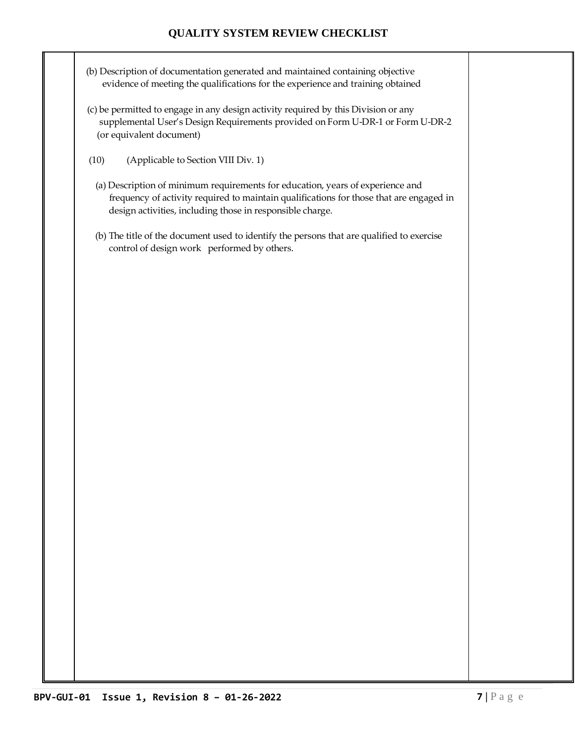- (b) Description of documentation generated and maintained containing objective evidence of meeting the qualifications for the experience and training obtained
- (c) be permitted to engage in any design activity required by this Division or any supplemental User's Design Requirements provided on Form U-DR-1 or Form U-DR-2 (or equivalent document)
- (10) (Applicable to Section VIII Div. 1)
	- (a) Description of minimum requirements for education, years of experience and frequency of activity required to maintain qualifications for those that are engaged in design activities, including those in responsible charge.
	- (b) The title of the document used to identify the persons that are qualified to exercise control of design work performed by others.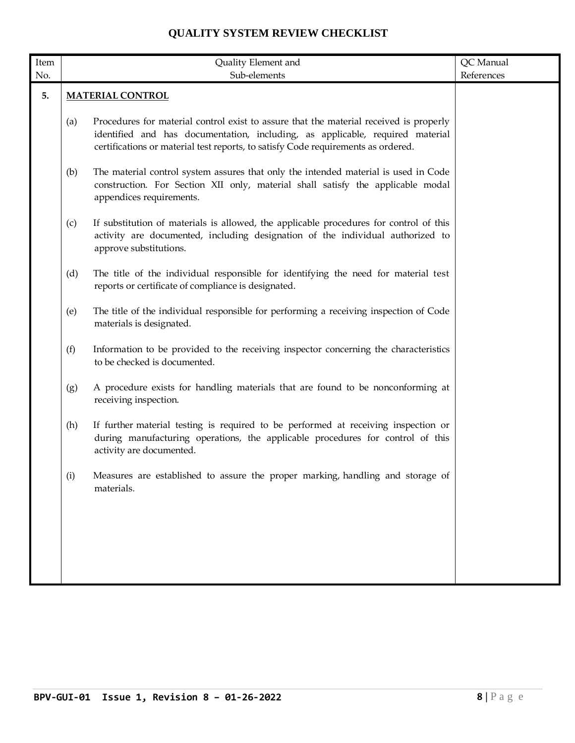| Item |     | Quality Element and                                                                                                                                                                                                                                          | QC Manual  |
|------|-----|--------------------------------------------------------------------------------------------------------------------------------------------------------------------------------------------------------------------------------------------------------------|------------|
| No.  |     | Sub-elements                                                                                                                                                                                                                                                 | References |
| 5.   |     | <b>MATERIAL CONTROL</b>                                                                                                                                                                                                                                      |            |
|      | (a) | Procedures for material control exist to assure that the material received is properly<br>identified and has documentation, including, as applicable, required material<br>certifications or material test reports, to satisfy Code requirements as ordered. |            |
|      | (b) | The material control system assures that only the intended material is used in Code<br>construction. For Section XII only, material shall satisfy the applicable modal<br>appendices requirements.                                                           |            |
|      | (c) | If substitution of materials is allowed, the applicable procedures for control of this<br>activity are documented, including designation of the individual authorized to<br>approve substitutions.                                                           |            |
|      | (d) | The title of the individual responsible for identifying the need for material test<br>reports or certificate of compliance is designated.                                                                                                                    |            |
|      | (e) | The title of the individual responsible for performing a receiving inspection of Code<br>materials is designated.                                                                                                                                            |            |
|      | (f) | Information to be provided to the receiving inspector concerning the characteristics<br>to be checked is documented.                                                                                                                                         |            |
|      | (g) | A procedure exists for handling materials that are found to be nonconforming at<br>receiving inspection.                                                                                                                                                     |            |
|      | (h) | If further material testing is required to be performed at receiving inspection or<br>during manufacturing operations, the applicable procedures for control of this<br>activity are documented.                                                             |            |
|      | (i) | Measures are established to assure the proper marking, handling and storage of<br>materials.                                                                                                                                                                 |            |
|      |     |                                                                                                                                                                                                                                                              |            |
|      |     |                                                                                                                                                                                                                                                              |            |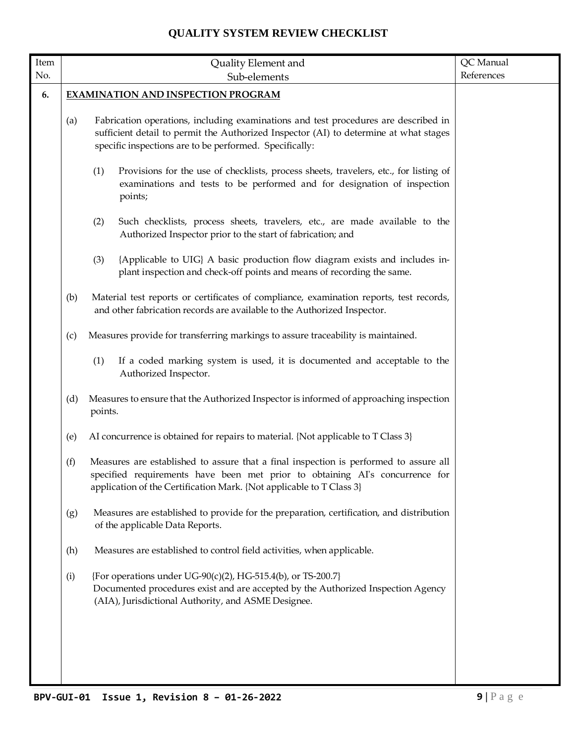| Item |     | Quality Element and                                                                                                                                                                                                                           | QC Manual  |
|------|-----|-----------------------------------------------------------------------------------------------------------------------------------------------------------------------------------------------------------------------------------------------|------------|
| No.  |     | Sub-elements                                                                                                                                                                                                                                  | References |
| 6.   |     | <b>EXAMINATION AND INSPECTION PROGRAM</b>                                                                                                                                                                                                     |            |
|      | (a) | Fabrication operations, including examinations and test procedures are described in<br>sufficient detail to permit the Authorized Inspector (AI) to determine at what stages<br>specific inspections are to be performed. Specifically:       |            |
|      |     | (1)<br>Provisions for the use of checklists, process sheets, travelers, etc., for listing of<br>examinations and tests to be performed and for designation of inspection<br>points;                                                           |            |
|      |     | (2)<br>Such checklists, process sheets, travelers, etc., are made available to the<br>Authorized Inspector prior to the start of fabrication; and                                                                                             |            |
|      |     | {Applicable to UIG} A basic production flow diagram exists and includes in-<br>(3)<br>plant inspection and check-off points and means of recording the same.                                                                                  |            |
|      | (b) | Material test reports or certificates of compliance, examination reports, test records,<br>and other fabrication records are available to the Authorized Inspector.                                                                           |            |
|      | (c) | Measures provide for transferring markings to assure traceability is maintained.                                                                                                                                                              |            |
|      |     | (1)<br>If a coded marking system is used, it is documented and acceptable to the<br>Authorized Inspector.                                                                                                                                     |            |
|      | (d) | Measures to ensure that the Authorized Inspector is informed of approaching inspection<br>points.                                                                                                                                             |            |
|      | (e) | AI concurrence is obtained for repairs to material. {Not applicable to T Class 3}                                                                                                                                                             |            |
|      | (f) | Measures are established to assure that a final inspection is performed to assure all<br>specified requirements have been met prior to obtaining AI's concurrence for<br>application of the Certification Mark. {Not applicable to T Class 3} |            |
|      | (g) | Measures are established to provide for the preparation, certification, and distribution<br>of the applicable Data Reports.                                                                                                                   |            |
|      | (h) | Measures are established to control field activities, when applicable.                                                                                                                                                                        |            |
|      | (i) | {For operations under UG-90(c)(2), HG-515.4(b), or TS-200.7}<br>Documented procedures exist and are accepted by the Authorized Inspection Agency<br>(AIA), Jurisdictional Authority, and ASME Designee.                                       |            |
|      |     |                                                                                                                                                                                                                                               |            |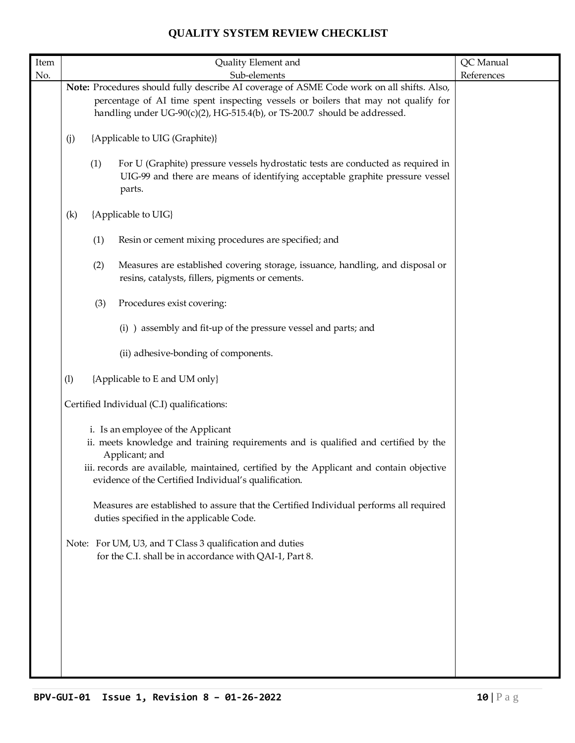| Item |     |                                                                                                                                                                                                                                                              | Quality Element and                                                                                                                                                                                                                                                                              | QC Manual  |
|------|-----|--------------------------------------------------------------------------------------------------------------------------------------------------------------------------------------------------------------------------------------------------------------|--------------------------------------------------------------------------------------------------------------------------------------------------------------------------------------------------------------------------------------------------------------------------------------------------|------------|
| No.  |     |                                                                                                                                                                                                                                                              | Sub-elements                                                                                                                                                                                                                                                                                     | References |
|      |     | Note: Procedures should fully describe AI coverage of ASME Code work on all shifts. Also,<br>percentage of AI time spent inspecting vessels or boilers that may not qualify for<br>handling under UG-90(c)(2), HG-515.4(b), or TS-200.7 should be addressed. |                                                                                                                                                                                                                                                                                                  |            |
|      | (j) | {Applicable to UIG (Graphite)}                                                                                                                                                                                                                               |                                                                                                                                                                                                                                                                                                  |            |
|      |     | (1)                                                                                                                                                                                                                                                          | For U (Graphite) pressure vessels hydrostatic tests are conducted as required in<br>UIG-99 and there are means of identifying acceptable graphite pressure vessel<br>parts.                                                                                                                      |            |
|      | (k) |                                                                                                                                                                                                                                                              | {Applicable to UIG}                                                                                                                                                                                                                                                                              |            |
|      |     | (1)                                                                                                                                                                                                                                                          | Resin or cement mixing procedures are specified; and                                                                                                                                                                                                                                             |            |
|      |     | (2)                                                                                                                                                                                                                                                          | Measures are established covering storage, issuance, handling, and disposal or<br>resins, catalysts, fillers, pigments or cements.                                                                                                                                                               |            |
|      |     | (3)                                                                                                                                                                                                                                                          | Procedures exist covering:                                                                                                                                                                                                                                                                       |            |
|      |     |                                                                                                                                                                                                                                                              | (i) ) assembly and fit-up of the pressure vessel and parts; and                                                                                                                                                                                                                                  |            |
|      |     |                                                                                                                                                                                                                                                              | (ii) adhesive-bonding of components.                                                                                                                                                                                                                                                             |            |
|      | (1) |                                                                                                                                                                                                                                                              | {Applicable to E and UM only}                                                                                                                                                                                                                                                                    |            |
|      |     |                                                                                                                                                                                                                                                              | Certified Individual (C.I) qualifications:                                                                                                                                                                                                                                                       |            |
|      |     |                                                                                                                                                                                                                                                              | i. Is an employee of the Applicant<br>ii. meets knowledge and training requirements and is qualified and certified by the<br>Applicant; and<br>iii. records are available, maintained, certified by the Applicant and contain objective<br>evidence of the Certified Individual's qualification. |            |
|      |     |                                                                                                                                                                                                                                                              | Measures are established to assure that the Certified Individual performs all required<br>duties specified in the applicable Code.                                                                                                                                                               |            |
|      |     |                                                                                                                                                                                                                                                              | Note: For UM, U3, and T Class 3 qualification and duties<br>for the C.I. shall be in accordance with QAI-1, Part 8.                                                                                                                                                                              |            |
|      |     |                                                                                                                                                                                                                                                              |                                                                                                                                                                                                                                                                                                  |            |
|      |     |                                                                                                                                                                                                                                                              |                                                                                                                                                                                                                                                                                                  |            |
|      |     |                                                                                                                                                                                                                                                              |                                                                                                                                                                                                                                                                                                  |            |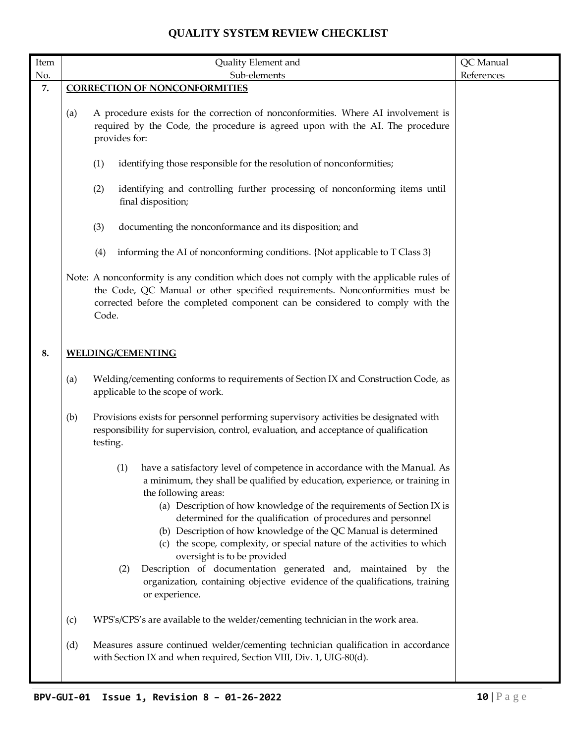| Item |     | Quality Element and                                                                                                                                                                                                                                                                                                                                                                                                                                                                                                                                                                                                                                                                    | QC Manual  |
|------|-----|----------------------------------------------------------------------------------------------------------------------------------------------------------------------------------------------------------------------------------------------------------------------------------------------------------------------------------------------------------------------------------------------------------------------------------------------------------------------------------------------------------------------------------------------------------------------------------------------------------------------------------------------------------------------------------------|------------|
| No.  |     | Sub-elements                                                                                                                                                                                                                                                                                                                                                                                                                                                                                                                                                                                                                                                                           | References |
| 7.   |     | <b>CORRECTION OF NONCONFORMITIES</b>                                                                                                                                                                                                                                                                                                                                                                                                                                                                                                                                                                                                                                                   |            |
|      | (a) | A procedure exists for the correction of nonconformities. Where AI involvement is<br>required by the Code, the procedure is agreed upon with the AI. The procedure<br>provides for:                                                                                                                                                                                                                                                                                                                                                                                                                                                                                                    |            |
|      |     | (1)<br>identifying those responsible for the resolution of nonconformities;                                                                                                                                                                                                                                                                                                                                                                                                                                                                                                                                                                                                            |            |
|      |     | (2)<br>identifying and controlling further processing of nonconforming items until<br>final disposition;                                                                                                                                                                                                                                                                                                                                                                                                                                                                                                                                                                               |            |
|      |     | documenting the nonconformance and its disposition; and<br>(3)                                                                                                                                                                                                                                                                                                                                                                                                                                                                                                                                                                                                                         |            |
|      |     | informing the AI of nonconforming conditions. {Not applicable to T Class 3}<br>(4)                                                                                                                                                                                                                                                                                                                                                                                                                                                                                                                                                                                                     |            |
|      |     | Note: A nonconformity is any condition which does not comply with the applicable rules of<br>the Code, QC Manual or other specified requirements. Nonconformities must be<br>corrected before the completed component can be considered to comply with the<br>Code.                                                                                                                                                                                                                                                                                                                                                                                                                    |            |
| 8.   |     | <b>WELDING/CEMENTING</b>                                                                                                                                                                                                                                                                                                                                                                                                                                                                                                                                                                                                                                                               |            |
|      | (a) | Welding/cementing conforms to requirements of Section IX and Construction Code, as<br>applicable to the scope of work.                                                                                                                                                                                                                                                                                                                                                                                                                                                                                                                                                                 |            |
|      | (b) | Provisions exists for personnel performing supervisory activities be designated with<br>responsibility for supervision, control, evaluation, and acceptance of qualification<br>testing.                                                                                                                                                                                                                                                                                                                                                                                                                                                                                               |            |
|      |     | have a satisfactory level of competence in accordance with the Manual. As<br>(1)<br>a minimum, they shall be qualified by education, experience, or training in<br>the following areas:<br>(a) Description of how knowledge of the requirements of Section IX is<br>determined for the qualification of procedures and personnel<br>(b) Description of how knowledge of the QC Manual is determined<br>(c) the scope, complexity, or special nature of the activities to which<br>oversight is to be provided<br>Description of documentation generated and, maintained by the<br>(2)<br>organization, containing objective evidence of the qualifications, training<br>or experience. |            |
|      | (c) | WPS's/CPS's are available to the welder/cementing technician in the work area.                                                                                                                                                                                                                                                                                                                                                                                                                                                                                                                                                                                                         |            |
|      | (d) | Measures assure continued welder/cementing technician qualification in accordance<br>with Section IX and when required, Section VIII, Div. 1, UIG-80(d).                                                                                                                                                                                                                                                                                                                                                                                                                                                                                                                               |            |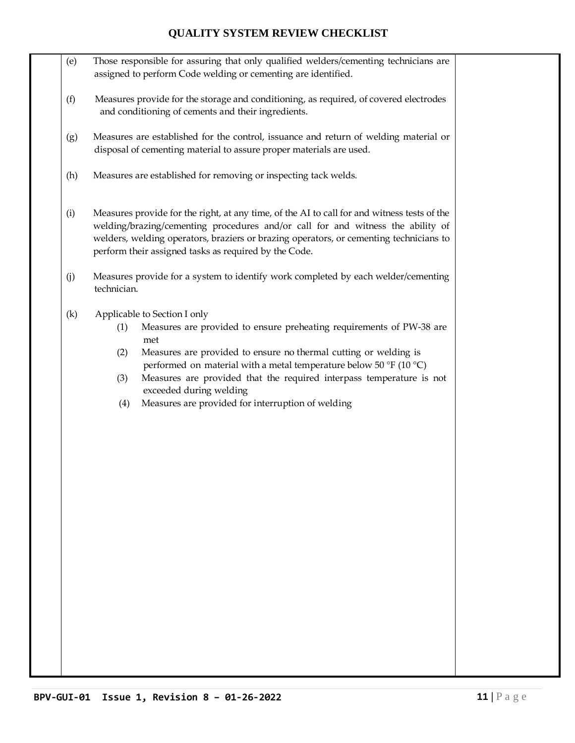- (e) Those responsible for assuring that only qualified welders/cementing technicians are assigned to perform Code welding or cementing are identified.
- (f) Measures provide for the storage and conditioning, as required, of covered electrodes and conditioning of cements and their ingredients.
- (g) Measures are established for the control, issuance and return of welding material or disposal of cementing material to assure proper materials are used.
- (h) Measures are established for removing or inspecting tack welds.
- (i) Measures provide for the right, at any time, of the AI to call for and witness tests of the welding/brazing/cementing procedures and/or call for and witness the ability of welders, welding operators, braziers or brazing operators, or cementing technicians to perform their assigned tasks as required by the Code.
- (j) Measures provide for a system to identify work completed by each welder/cementing technician.
- (k) Applicable to Section I only
	- (1) Measures are provided to ensure preheating requirements of PW-38 are met
	- (2) Measures are provided to ensure no thermal cutting or welding is performed on material with a metal temperature below 50 °F (10 °C)
	- (3) Measures are provided that the required interpass temperature is not exceeded during welding
	- (4) Measures are provided for interruption of welding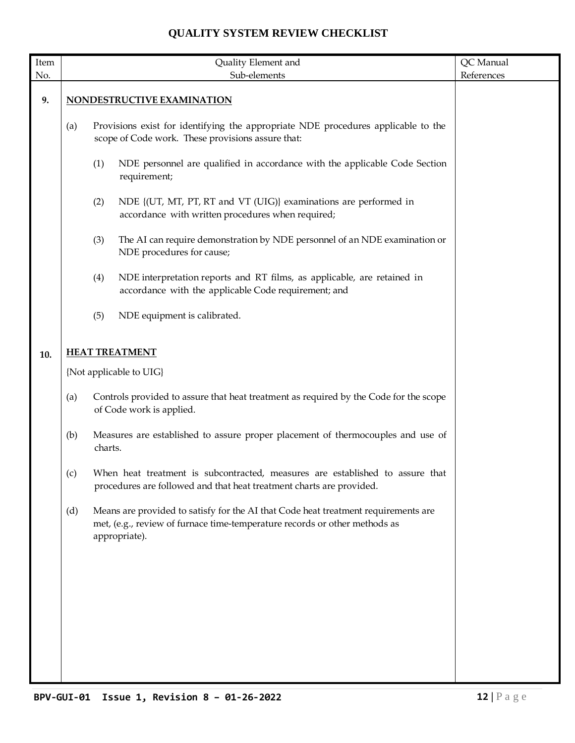| $\mbox{Item}$ |                                                                                                                                               |                            | Quality Element and                                                                                                                                                               | QC Manual  |
|---------------|-----------------------------------------------------------------------------------------------------------------------------------------------|----------------------------|-----------------------------------------------------------------------------------------------------------------------------------------------------------------------------------|------------|
| No.           |                                                                                                                                               |                            | Sub-elements                                                                                                                                                                      | References |
| 9.            |                                                                                                                                               | NONDESTRUCTIVE EXAMINATION |                                                                                                                                                                                   |            |
|               | Provisions exist for identifying the appropriate NDE procedures applicable to the<br>(a)<br>scope of Code work. These provisions assure that: |                            |                                                                                                                                                                                   |            |
|               |                                                                                                                                               | (1)                        | NDE personnel are qualified in accordance with the applicable Code Section<br>requirement;                                                                                        |            |
|               |                                                                                                                                               | (2)                        | NDE {(UT, MT, PT, RT and VT (UIG)} examinations are performed in<br>accordance with written procedures when required;                                                             |            |
|               |                                                                                                                                               | (3)                        | The AI can require demonstration by NDE personnel of an NDE examination or<br>NDE procedures for cause;                                                                           |            |
|               |                                                                                                                                               | (4)                        | NDE interpretation reports and RT films, as applicable, are retained in<br>accordance with the applicable Code requirement; and                                                   |            |
|               |                                                                                                                                               | (5)                        | NDE equipment is calibrated.                                                                                                                                                      |            |
|               |                                                                                                                                               |                            | <b>HEAT TREATMENT</b>                                                                                                                                                             |            |
| 10.           |                                                                                                                                               |                            |                                                                                                                                                                                   |            |
|               |                                                                                                                                               |                            | {Not applicable to UIG}                                                                                                                                                           |            |
|               | (a)                                                                                                                                           |                            | Controls provided to assure that heat treatment as required by the Code for the scope<br>of Code work is applied.                                                                 |            |
|               | (b)                                                                                                                                           | charts.                    | Measures are established to assure proper placement of thermocouples and use of                                                                                                   |            |
|               | (c)                                                                                                                                           |                            | When heat treatment is subcontracted, measures are established to assure that<br>procedures are followed and that heat treatment charts are provided.                             |            |
|               | (d)                                                                                                                                           |                            | Means are provided to satisfy for the AI that Code heat treatment requirements are<br>met, (e.g., review of furnace time-temperature records or other methods as<br>appropriate). |            |
|               |                                                                                                                                               |                            |                                                                                                                                                                                   |            |
|               |                                                                                                                                               |                            |                                                                                                                                                                                   |            |
|               |                                                                                                                                               |                            |                                                                                                                                                                                   |            |
|               |                                                                                                                                               |                            |                                                                                                                                                                                   |            |
|               |                                                                                                                                               |                            |                                                                                                                                                                                   |            |
|               |                                                                                                                                               |                            |                                                                                                                                                                                   |            |
|               |                                                                                                                                               |                            |                                                                                                                                                                                   |            |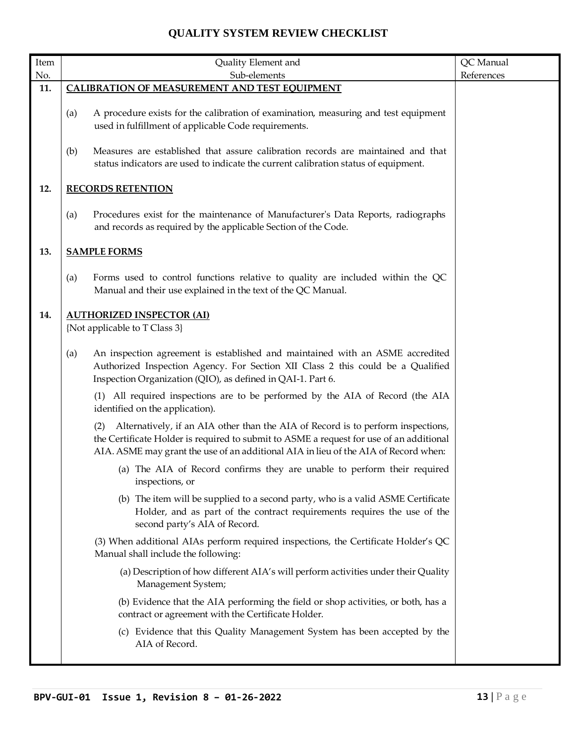| $\ensuremath{\mathsf{Item}}$ | Quality Element and                                                                                                                                                                                                                                                       | QC Manual  |
|------------------------------|---------------------------------------------------------------------------------------------------------------------------------------------------------------------------------------------------------------------------------------------------------------------------|------------|
| No.                          | Sub-elements                                                                                                                                                                                                                                                              | References |
| 11.                          | <b>CALIBRATION OF MEASUREMENT AND TEST EQUIPMENT</b>                                                                                                                                                                                                                      |            |
|                              | A procedure exists for the calibration of examination, measuring and test equipment<br>(a)<br>used in fulfillment of applicable Code requirements.                                                                                                                        |            |
|                              | Measures are established that assure calibration records are maintained and that<br>(b)<br>status indicators are used to indicate the current calibration status of equipment.                                                                                            |            |
| 12.                          | <b>RECORDS RETENTION</b>                                                                                                                                                                                                                                                  |            |
|                              | Procedures exist for the maintenance of Manufacturer's Data Reports, radiographs<br>(a)<br>and records as required by the applicable Section of the Code.                                                                                                                 |            |
| 13.                          | <b>SAMPLE FORMS</b>                                                                                                                                                                                                                                                       |            |
|                              | Forms used to control functions relative to quality are included within the QC<br>(a)<br>Manual and their use explained in the text of the QC Manual.                                                                                                                     |            |
| 14.                          | <b>AUTHORIZED INSPECTOR (AI)</b>                                                                                                                                                                                                                                          |            |
|                              | {Not applicable to T Class 3}                                                                                                                                                                                                                                             |            |
|                              | An inspection agreement is established and maintained with an ASME accredited<br>(a)<br>Authorized Inspection Agency. For Section XII Class 2 this could be a Qualified<br>Inspection Organization (QIO), as defined in QAI-1. Part 6.                                    |            |
|                              | (1) All required inspections are to be performed by the AIA of Record (the AIA<br>identified on the application).                                                                                                                                                         |            |
|                              | Alternatively, if an AIA other than the AIA of Record is to perform inspections,<br>(2)<br>the Certificate Holder is required to submit to ASME a request for use of an additional<br>AIA. ASME may grant the use of an additional AIA in lieu of the AIA of Record when: |            |
|                              | (a) The AIA of Record confirms they are unable to perform their required<br>inspections, or                                                                                                                                                                               |            |
|                              | (b) The item will be supplied to a second party, who is a valid ASME Certificate<br>Holder, and as part of the contract requirements requires the use of the<br>second party's AIA of Record.                                                                             |            |
|                              | (3) When additional AIAs perform required inspections, the Certificate Holder's QC<br>Manual shall include the following:                                                                                                                                                 |            |
|                              | (a) Description of how different AIA's will perform activities under their Quality<br>Management System;                                                                                                                                                                  |            |
|                              | (b) Evidence that the AIA performing the field or shop activities, or both, has a<br>contract or agreement with the Certificate Holder.                                                                                                                                   |            |
|                              | (c) Evidence that this Quality Management System has been accepted by the<br>AIA of Record.                                                                                                                                                                               |            |
|                              |                                                                                                                                                                                                                                                                           |            |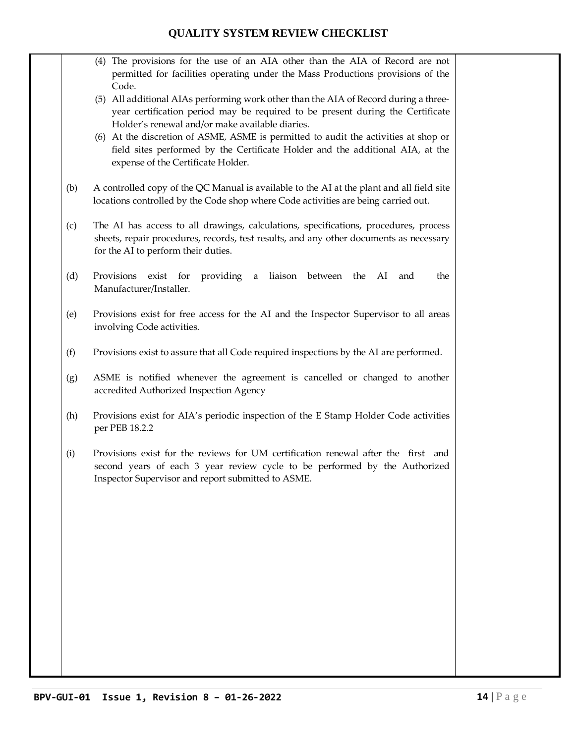- (4) The provisions for the use of an AIA other than the AIA of Record are not permitted for facilities operating under the Mass Productions provisions of the Code.
- (5) All additional AIAs performing work other than the AIA of Record during a threeyear certification period may be required to be present during the Certificate Holder's renewal and/or make available diaries.
- (6) At the discretion of ASME, ASME is permitted to audit the activities at shop or field sites performed by the Certificate Holder and the additional AIA, at the expense of the Certificate Holder.
- (b) A controlled copy of the QC Manual is available to the AI at the plant and all field site locations controlled by the Code shop where Code activities are being carried out.
- (c) The AI has access to all drawings, calculations, specifications, procedures, process sheets, repair procedures, records, test results, and any other documents as necessary for the AI to perform their duties.
- (d) Provisions exist for providing a liaison between the AI and the Manufacturer/Installer.
- (e) Provisions exist for free access for the AI and the Inspector Supervisor to all areas involving Code activities.
- (f) Provisions exist to assure that all Code required inspections by the AI are performed.
- (g) ASME is notified whenever the agreement is cancelled or changed to another accredited Authorized Inspection Agency
- (h) Provisions exist for AIA's periodic inspection of the E Stamp Holder Code activities per PEB 18.2.2
- (i) Provisions exist for the reviews for UM certification renewal after the first and second years of each 3 year review cycle to be performed by the Authorized Inspector Supervisor and report submitted to ASME.